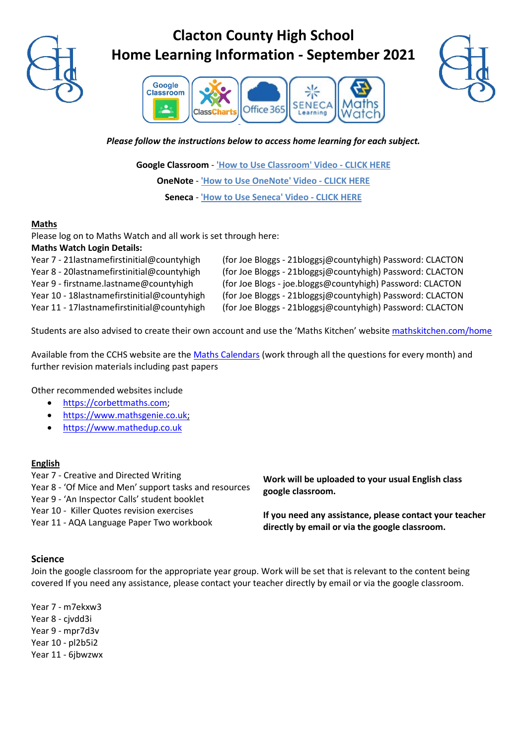

## **Clacton County High School Home Learning Information - September 2021**





#### *Please follow the instructions below to access home learning for each subject.*

**Google Classroom** - **['How to Use Classroom' Video -](https://drive.google.com/open?id=1DpKd_RCh6hHGlVhf1-x_0wf8yqB3bIyA) CLICK HERE OneNote** - **['How to Use OneNote' Video -](https://drive.google.com/open?id=1812x7bo0MM4jU6imhCVYqIwGxS5urBPv) CLICK HERE Seneca** - **['How to Use Seneca' Video -](https://drive.google.com/open?id=1EFrAIh3DbNO48INNfDYAEfleHrbGVkO6) CLICK HERE**

## **Maths**

Please log on to Maths Watch and all work is set through here:

|  |  |  | <b>Maths Watch Login Details:</b> |
|--|--|--|-----------------------------------|
|--|--|--|-----------------------------------|

| Year 7 - 21 last name first initial@county high  | (for Joe Bloggs - 21bloggs i@countyhigh) Password: CLACTON |
|--------------------------------------------------|------------------------------------------------------------|
| Year 8 - 20lastnamefirstinitial@countyhigh       | (for Joe Bloggs - 21bloggs i@countyhigh) Password: CLACTON |
| Year 9 - firstname.lastname@countyhigh           | (for Joe Blogs - joe.bloggs@countyhigh) Password: CLACTON  |
| Year 10 - 18 last name first initial@county high | (for Joe Bloggs - 21bloggs i@countyhigh) Password: CLACTON |
| Year 11 - 17 last name first initial@county high | (for Joe Bloggs - 21bloggsj@countyhigh) Password: CLACTON  |

Students are also advised to create their own account and use the 'Maths Kitchen' website [mathskitchen.com/home](https://mathskitchen.com/home)

Available from the CCHS website are th[e Maths Calendars](https://student-revision.cchs.school/home/ks34-monthly-maths-calendars) (work through all the questions for every month) and further revision materials including past papers

Other recommended websites include

- [https://corbettmaths.com;](https://corbettmaths.com/)
- [https://www.mathsgenie.co.uk;](https://www.mathsgenie.co.uk/)
- [https://www.mathedup.co.uk](https://www.mathedup.co.uk/)

## **English**

Year 7 - Creative and Directed Writing

Year 8 - 'Of Mice and Men' support tasks and resources

Year 9 - 'An Inspector Calls' student booklet

Year 10 - Killer Quotes revision exercises

Year 11 - AQA Language Paper Two workbook

**Work will be uploaded to your usual English class google classroom.** 

**If you need any assistance, please contact your teacher directly by email or via the google classroom.**

## **Science**

Join the google classroom for the appropriate year group. Work will be set that is relevant to the content being covered If you need any assistance, please contact your teacher directly by email or via the google classroom.

Year 7 - m7ekxw3 Year 8 - cjvdd3i Year 9 - mpr7d3v Year 10 - pl2b5i2 Year 11 - 6jbwzwx